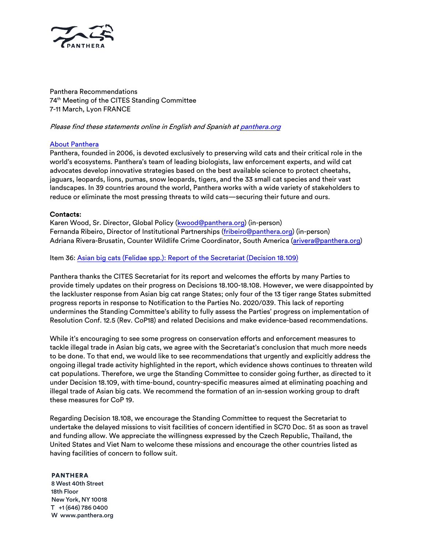

Panthera Recommendations 74th Meeting of the CITES Standing Committee 7-11 March, Lyon FRANCE

## Please find these statements online in English and Spanish at [panthera.org](www.panthera.org)

## [About Panthera](www.panthera.org)

Panthera, founded in 2006, is devoted exclusively to preserving wild cats and their critical role in the world's ecosystems. Panthera's team of leading biologists, law enforcement experts, and wild cat advocates develop innovative strategies based on the best available science to protect cheetahs, jaguars, leopards, lions, pumas, snow leopards, tigers, and the 33 small cat species and their vast landscapes. In 39 countries around the world, Panthera works with a wide variety of stakeholders to reduce or eliminate the most pressing threats to wild cats—securing their future and ours.

## Contacts:

Karen Wood, Sr. Director, Global Policy ([kwood@panthera.org](mailto:kwood@panthera.org)) (in-person) Fernanda Ribeiro, Director of Institutional Partnerships [\(fribeiro@panthera.org](mailto:fribeiro@panthera.org)) (in-person) Adriana Rivera-Brusatin, Counter Wildlife Crime Coordinator, South America ([arivera@panthera.org\)](mailto:arivera@panthera.org)

Item 36: [Asian big cats \(Felidae spp.\): Report of the Secretariat](mailto:https://cites.org/sites/default/files/eng/com/sc/74/E-SC74-36.pdf) (Decision 18.109)

Panthera thanks the CITES Secretariat for its report and welcomes the efforts by many Parties to provide timely updates on their progress on Decisions 18.100-18.108. However, we were disappointed by the lackluster response from Asian big cat range States; only four of the 13 tiger range States submitted progress reports in response to Notification to the Parties No. 2020/039. This lack of reporting undermines the Standing Committee's ability to fully assess the Parties' progress on implementation of Resolution Conf. 12.5 (Rev. CoP18) and related Decisions and make evidence-based recommendations.

While it's encouraging to see some progress on conservation efforts and enforcement measures to tackle illegal trade in Asian big cats, we agree with the Secretariat's conclusion that much more needs to be done. To that end, we would like to see recommendations that urgently and explicitly address the ongoing illegal trade activity highlighted in the report, which evidence shows continues to threaten wild cat populations. Therefore, we urge the Standing Committee to consider going further, as directed to it under Decision 18.109, with time-bound, country-specific measures aimed at eliminating poaching and illegal trade of Asian big cats. We recommend the formation of an in-session working group to draft these measures for CoP 19.

Regarding Decision 18.108, we encourage the Standing Committee to request the Secretariat to undertake the delayed missions to visit facilities of concern identified in SC70 Doc. 51 as soon as travel and funding allow. We appreciate the willingness expressed by the Czech Republic, Thailand, the United States and Viet Nam to welcome these missions and encourage the other countries listed as having facilities of concern to follow suit.

#### PANTHERA

8 West 40th Street 18th Floor New York, NY 10018 T +1 (646) 786 0400 W www.panthera.org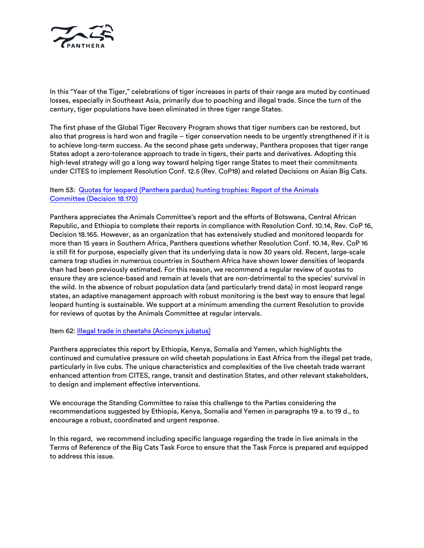

In this "Year of the Tiger," celebrations of tiger increases in parts of their range are muted by continued losses, especially in Southeast Asia, primarily due to poaching and illegal trade. Since the turn of the century, tiger populations have been eliminated in three tiger range States.

The first phase of the Global Tiger Recovery Program shows that tiger numbers can be restored, but also that progress is hard won and fragile – tiger conservation needs to be urgently strengthened if it is to achieve long-term success. As the second phase gets underway, Panthera proposes that tiger range States adopt a zero-tolerance approach to trade in tigers, their parts and derivatives. Adopting this high-level strategy will go a long way toward helping tiger range States to meet their commitments under CITES to implement Resolution Conf. 12.5 (Rev. CoP18) and related Decisions on Asian Big Cats.

## Item 53: [Quotas for leopard \(Panthera pardus\) hunting trophies: Report of the Animals](https://cites.org/sites/default/files/eng/com/sc/74/E-SC74-53.pdf) Committee [\(Decision 18.170\)](https://cites.org/sites/default/files/eng/com/sc/74/E-SC74-53.pdf)

Panthera appreciates the Animals Committee's report and the efforts of Botswana, Central African Republic, and Ethiopia to complete their reports in compliance with Resolution Conf. 10.14, Rev. CoP 16, Decision 18.165. However, as an organization that has extensively studied and monitored leopards for more than 15 years in Southern Africa, Panthera questions whether Resolution Conf. 10.14, Rev. CoP 16 is still fit for purpose, especially given that its underlying data is now 30 years old. Recent, large-scale camera trap studies in numerous countries in Southern Africa have shown lower densities of leopards than had been previously estimated. For this reason, we recommend a regular review of quotas to ensure they are science-based and remain at levels that are non-detrimental to the species' survival in the wild. In the absence of robust population data (and particularly trend data) in most leopard range states, an adaptive management approach with robust monitoring is the best way to ensure that legal leopard hunting is sustainable. We support at a minimum amending the current Resolution to provide for reviews of quotas by the Animals Committee at regular intervals.

### Item 62: [Illegal trade in cheetahs \(Acinonyx jubatus\)](https://cites.org/sites/default/files/eng/com/sc/74/E-SC74-53.pdf)

Panthera appreciates this report by Ethiopia, Kenya, Somalia and Yemen, which highlights the continued and cumulative pressure on wild cheetah populations in East Africa from the illegal pet trade, particularly in live cubs. The unique characteristics and complexities of the live cheetah trade warrant enhanced attention from CITES, range, transit and destination States, and other relevant stakeholders, to design and implement effective interventions.

We encourage the Standing Committee to raise this challenge to the Parties considering the recommendations suggested by Ethiopia, Kenya, Somalia and Yemen in paragraphs 19 a. to 19 d., to encourage a robust, coordinated and urgent response.

In this regard, we recommend including specific language regarding the trade in live animals in the Terms of Reference of the Big Cats Task Force to ensure that the Task Force is prepared and equipped to address this issue.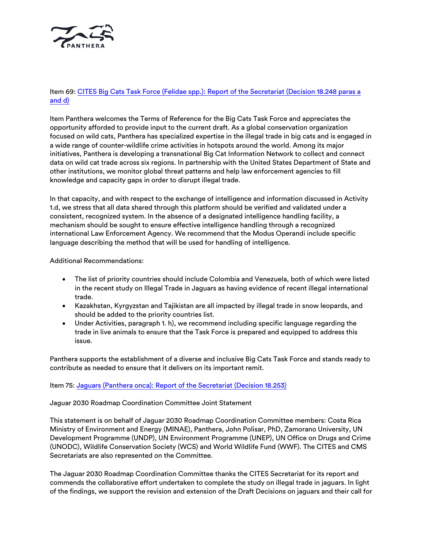

# Item 69: [CITES Big Cats Task Force \(Felidae spp.\): Report of the Secretariat \(Decision 18.248 paras a](chrome-extension://efaidnbmnnnibpcajpcglclefindmkaj/viewer.html?pdfurl=https%3A%2F%2Fcites.org%2Fsites%2Fdefault%2Ffiles%2Feng%2Fcom%2Fsc%2F74%2FE-SC74-69-R1.pdf&clen=196764&chunk=true)  [and d\)](chrome-extension://efaidnbmnnnibpcajpcglclefindmkaj/viewer.html?pdfurl=https%3A%2F%2Fcites.org%2Fsites%2Fdefault%2Ffiles%2Feng%2Fcom%2Fsc%2F74%2FE-SC74-69-R1.pdf&clen=196764&chunk=true)

Item Panthera welcomes the Terms of Reference for the Big Cats Task Force and appreciates the opportunity afforded to provide input to the current draft. As a global conservation organization focused on wild cats, Panthera has specialized expertise in the illegal trade in big cats and is engaged in a wide range of counter-wildlife crime activities in hotspots around the world. Among its major initiatives, Panthera is developing a transnational Big Cat Information Network to collect and connect data on wild cat trade across six regions. In partnership with the United States Department of State and other institutions, we monitor global threat patterns and help law enforcement agencies to fill knowledge and capacity gaps in order to disrupt illegal trade.

In that capacity, and with respect to the exchange of intelligence and information discussed in Activity 1.d, we stress that all data shared through this platform should be verified and validated under a consistent, recognized system. In the absence of a designated intelligence handling facility, a mechanism should be sought to ensure effective intelligence handling through a recognized international Law Enforcement Agency. We recommend that the Modus Operandi include specific language describing the method that will be used for handling of intelligence.

Additional Recommendations:

- The list of priority countries should include Colombia and Venezuela, both of which were listed in the recent study on Illegal Trade in Jaguars as having evidence of recent illegal international trade.
- Kazakhstan, Kyrgyzstan and Tajikistan are all impacted by illegal trade in snow leopards, and should be added to the priority countries list.
- Under Activities, paragraph 1. h), we recommend including specific language regarding the trade in live animals to ensure that the Task Force is prepared and equipped to address this issue.

Panthera supports the establishment of a diverse and inclusive Big Cats Task Force and stands ready to contribute as needed to ensure that it delivers on its important remit.

Item 75: [Jaguars \(Panthera onca\): Report of the Secretariat](https://cites.org/sites/default/files/eng/com/sc/74/E-SC74-75.pdf) (Decision 18.253)

Jaguar 2030 Roadmap Coordination Committee Joint Statement

This statement is on behalf of Jaguar 2030 Roadmap Coordination Committee members: Costa Rica Ministry of Environment and Energy (MINAE), Panthera, John Polisar, PhD, Zamorano University, UN Development Programme (UNDP), UN Environment Programme (UNEP), UN Office on Drugs and Crime (UNODC), Wildlife Conservation Society (WCS) and World Wildlife Fund (WWF). The CITES and CMS Secretariats are also represented on the Committee.

The Jaguar 2030 Roadmap Coordination Committee thanks the CITES Secretariat for its report and commends the collaborative effort undertaken to complete the study on illegal trade in jaguars. In light of the findings, we support the revision and extension of the Draft Decisions on jaguars and their call for